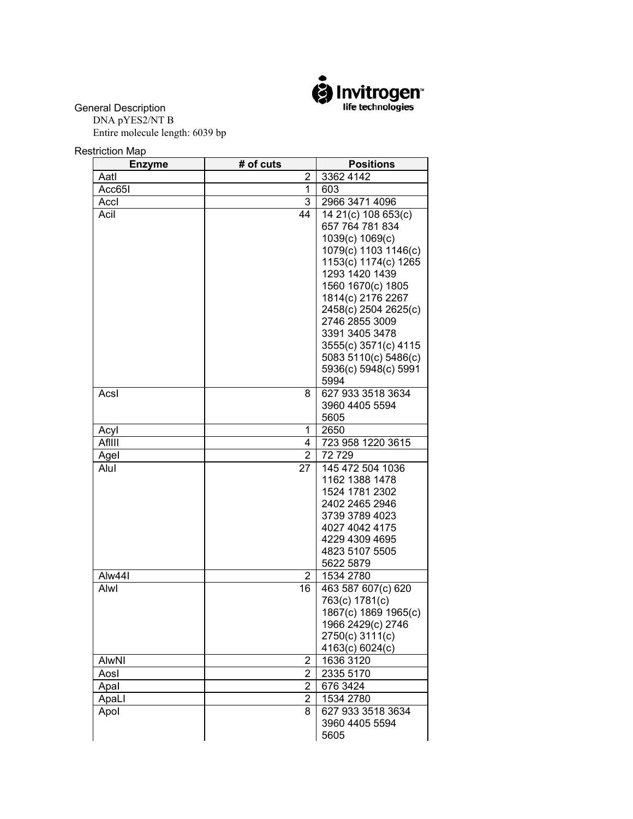

General Description

 DNA pYES2/NT B Entire molecule length: 6039 bp

Restriction Map

| <b>Enzyme</b> | # of cuts      | <b>Positions</b>                       |
|---------------|----------------|----------------------------------------|
| Aatl          | 2              | 3362 4142                              |
| Acc65I        | 1              | 603                                    |
| Accl          | 3              | 2966 3471 4096                         |
| Acil          | 44             | 14 21(c) 108 653(c)                    |
|               |                | 657 764 781 834                        |
|               |                | 1039(c) 1069(c)                        |
|               |                | 1079(c) 1103 1146(c)                   |
|               |                | 1153(c) 1174(c) 1265<br>1293 1420 1439 |
|               |                | 1560 1670(c) 1805                      |
|               |                | 1814(c) 2176 2267                      |
|               |                | 2458(c) 2504 2625(c)                   |
|               |                | 2746 2855 3009                         |
|               |                | 3391 3405 3478                         |
|               |                | 3555(c) 3571(c) 4115                   |
|               |                | 5083 5110(c) 5486(c)                   |
|               |                | 5936(c) 5948(c) 5991                   |
|               |                | 5994                                   |
| Acsl          | 8              | 627 933 3518 3634                      |
|               |                | 3960 4405 5594                         |
|               |                | 5605                                   |
| Acyl          | 1              | 2650                                   |
| AfIIII        | 4              | 723 958 1220 3615                      |
| Agel          | $\overline{2}$ | 72 729                                 |
| Alul          | 27             | 145 472 504 1036                       |
|               |                | 1162 1388 1478                         |
|               |                | 1524 1781 2302                         |
|               |                | 2402 2465 2946                         |
|               |                | 3739 3789 4023                         |
|               |                | 4027 4042 4175                         |
|               |                | 4229 4309 4695                         |
|               |                | 4823 5107 5505                         |
|               |                | 5622 5879                              |
| Alw44I        | $\overline{2}$ | 1534 2780                              |
| Alwl          | 16             | 463 587 607(c) 620                     |
|               |                | 763(c) 1781(c)                         |
|               |                | 1867(c) 1869 1965(c)                   |
|               |                | 1966 2429(c) 2746                      |
|               |                | 2750(c) 3111(c)                        |
|               |                | 4163(c) 6024(c)                        |
| AlwNI         | 2              | 1636 3120                              |
| Aosl          | $\overline{2}$ | 2335 5170                              |
| Apal          | 2              | 676 3424                               |
| ApaLl         | $\overline{2}$ | 1534 2780                              |
| Apol          | 8              | 627 933 3518 3634                      |
|               |                | 3960 4405 5594<br>5605                 |
|               |                |                                        |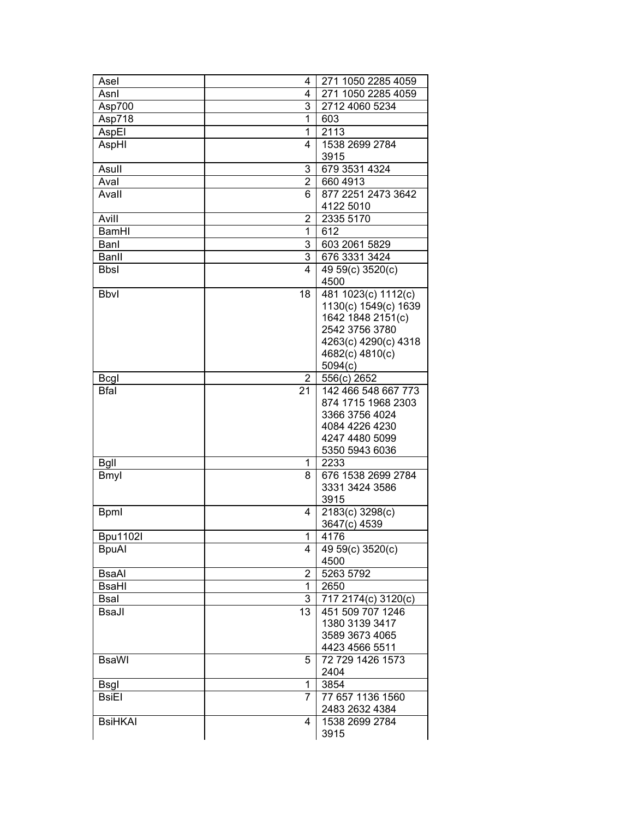| Asel            | 4                    | 271 1050 2285 4059                   |
|-----------------|----------------------|--------------------------------------|
| Asnl            | 4                    | 271 1050 2285 4059                   |
| Asp700          | 3                    | 2712 4060 5234                       |
| Asp718          | 1                    | 603                                  |
| AspEl           | $\mathbf{1}$         | $\overline{21}13$                    |
| AspHI           | 4                    | 1538 2699 2784                       |
|                 |                      | 3915                                 |
| Asull           | 3                    | 679 3531 4324                        |
| Aval            | $\overline{2}$       | 660 4913                             |
| Avall           | 6                    | 877 2251 2473 3642                   |
|                 |                      | 4122 5010                            |
| Avill           | $\overline{2}$       | 2335 5170                            |
| <b>BamHI</b>    | 1                    | 612                                  |
| Banl            | 3                    | 603 2061 5829                        |
| Banll           | 3                    | 676 3331 3424                        |
|                 |                      |                                      |
| <b>Bbsl</b>     | 4                    | 49 59(c) 3520(c)                     |
|                 |                      | 4500                                 |
| <b>Bbvl</b>     | 18                   | 481 1023(c) 1112(c)                  |
|                 |                      | 1130(c) 1549(c) 1639                 |
|                 |                      | 1642 1848 2151(c)                    |
|                 |                      | 2542 3756 3780                       |
|                 |                      | 4263(c) 4290(c) 4318                 |
|                 |                      | 4682(c) 4810(c)                      |
|                 |                      | 5094(c)                              |
| <b>Bcgl</b>     | $\overline{2}$<br>21 | 556(c) 2652                          |
| <b>Bfal</b>     |                      | 142 466 548 667 773                  |
|                 |                      | 874 1715 1968 2303                   |
|                 |                      | 3366 3756 4024<br>4084 4226 4230     |
|                 |                      | 4247 4480 5099                       |
|                 |                      |                                      |
|                 |                      | 5350 5943 6036<br>2233               |
| <b>Bgll</b>     | 1                    |                                      |
| <b>Bmyl</b>     | 8                    | 676 1538 2699 2784<br>3331 3424 3586 |
|                 |                      | 3915                                 |
|                 |                      |                                      |
| <b>Bpml</b>     | 4                    | 2183(c) 3298(c)                      |
|                 |                      | 3647(c) 4539                         |
| <b>Bpu1102l</b> | 1                    | 4176                                 |
| <b>BpuAl</b>    | 4                    | 49 59(c) 3520(c)                     |
|                 |                      | 4500                                 |
| <b>BsaAl</b>    | $\overline{2}$       | 5263 5792                            |
| <b>BsaHI</b>    | $\mathbf{1}$         | 2650                                 |
| <b>Bsal</b>     | 3                    | 717 2174(c) 3120(c)                  |
| <b>BsaJl</b>    | 13                   | 451 509 707 1246                     |
|                 |                      | 1380 3139 3417                       |
|                 |                      | 3589 3673 4065                       |
|                 |                      | 4423 4566 5511                       |
| <b>BsaWI</b>    | 5.                   | 72 729 1426 1573                     |
|                 |                      | 2404                                 |
| <b>Bsgl</b>     | 1                    | 3854                                 |
| BsiEl           | 7                    | 77 657 1136 1560                     |
|                 |                      | 2483 2632 4384                       |
| <b>BsiHKAI</b>  | 4                    | 1538 2699 2784                       |
|                 |                      | 3915                                 |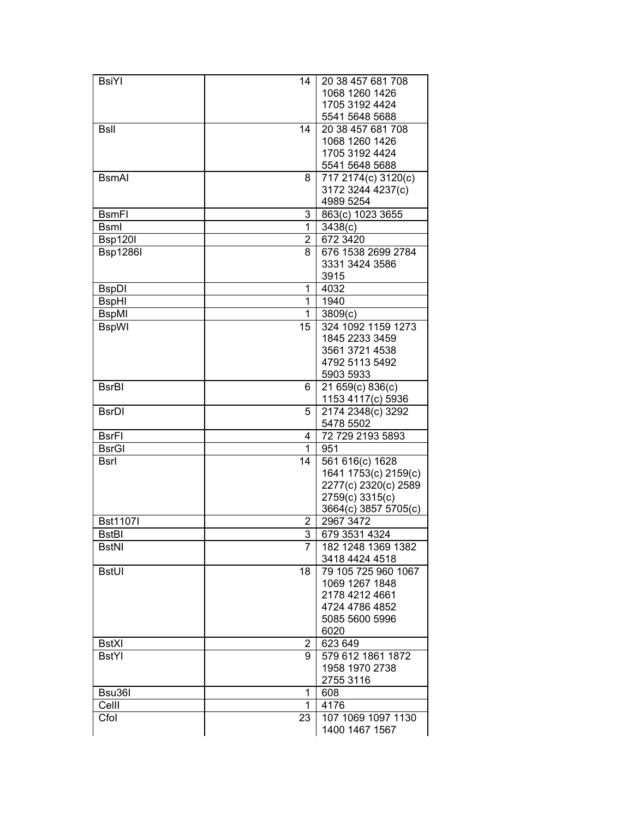| <b>BsiYI</b>    | 14                      | 20 38 457 681 708                    |
|-----------------|-------------------------|--------------------------------------|
|                 |                         | 1068 1260 1426                       |
|                 |                         | 1705 3192 4424                       |
|                 |                         |                                      |
|                 |                         | 5541 5648 5688                       |
| <b>Bsll</b>     | 14                      | 20 38 457 681 708                    |
|                 |                         | 1068 1260 1426                       |
|                 |                         | 1705 3192 4424                       |
|                 |                         | 5541 5648 5688                       |
| <b>B</b> smAI   | 8                       | 717 2174(c) 3120(c)                  |
|                 |                         | 3172 3244 4237(c)                    |
|                 |                         | 4989 5254                            |
|                 |                         |                                      |
| <b>BsmFI</b>    | 3                       | 863(c) 1023 3655                     |
| <b>Bsml</b>     | 1                       | 3438(c)                              |
| <b>Bsp120I</b>  | $\overline{2}$          | 672 3420                             |
| <b>Bsp1286I</b> | 8                       | 676 1538 2699 2784                   |
|                 |                         | 3331 3424 3586                       |
|                 |                         | 3915                                 |
| <b>BspDI</b>    | 1                       | 4032                                 |
|                 | 1                       | 1940                                 |
| <b>BspHI</b>    |                         |                                      |
| <b>BspMI</b>    | 1                       | 3809(c)                              |
| <b>BspWI</b>    | 15                      | 324 1092 1159 1273                   |
|                 |                         | 1845 2233 3459                       |
|                 |                         | 3561 3721 4538                       |
|                 |                         | 4792 5113 5492                       |
|                 |                         | 5903 5933                            |
| <b>BsrBI</b>    | 6                       | 21 659(c) 836(c)                     |
|                 |                         | 1153 4117(c) 5936                    |
|                 |                         |                                      |
| <b>BsrDI</b>    | 5                       | 2174 2348(c) 3292                    |
|                 |                         | 5478 5502                            |
| <b>BsrFI</b>    | 4                       | 72 729 2193 5893                     |
| <b>BsrGI</b>    | 1                       | 951                                  |
| <b>Bsrl</b>     | 14                      | 561 616(c) 1628                      |
|                 |                         | 1641 1753(c) 2159(c)                 |
|                 |                         | 2277(c) 2320(c) 2589                 |
|                 |                         | 2759(c) 3315(c)                      |
|                 |                         | 3664(c) 3857 5705(c)                 |
| <b>Bst11071</b> |                         | 2967 3472                            |
|                 | $\overline{2}$          |                                      |
| <b>BstBI</b>    | $\overline{\mathbf{3}}$ | 679 3531 4324                        |
| <b>BstNI</b>    | $\overline{7}$          | 182 1248 1369 1382                   |
|                 |                         | 3418 4424 4518                       |
| <b>BstUI</b>    | 18                      | 79 105 725 960 1067                  |
|                 |                         | 1069 1267 1848                       |
|                 |                         | 2178 4212 4661                       |
|                 |                         | 4724 4786 4852                       |
|                 |                         |                                      |
|                 |                         |                                      |
|                 |                         | 5085 5600 5996                       |
|                 |                         | 6020                                 |
| <b>BstXI</b>    | $\mathbf{2}^{\prime}$   | 623 649                              |
| <b>BstYl</b>    | 9                       | 579 612 1861 1872                    |
|                 |                         | 1958 1970 2738                       |
|                 |                         | 2755 3116                            |
|                 | 1                       | 608                                  |
| Bsu36I          | 1                       |                                      |
| Celll           |                         | 4176                                 |
| Cfol            | 23                      | 107 1069 1097 1130<br>1400 1467 1567 |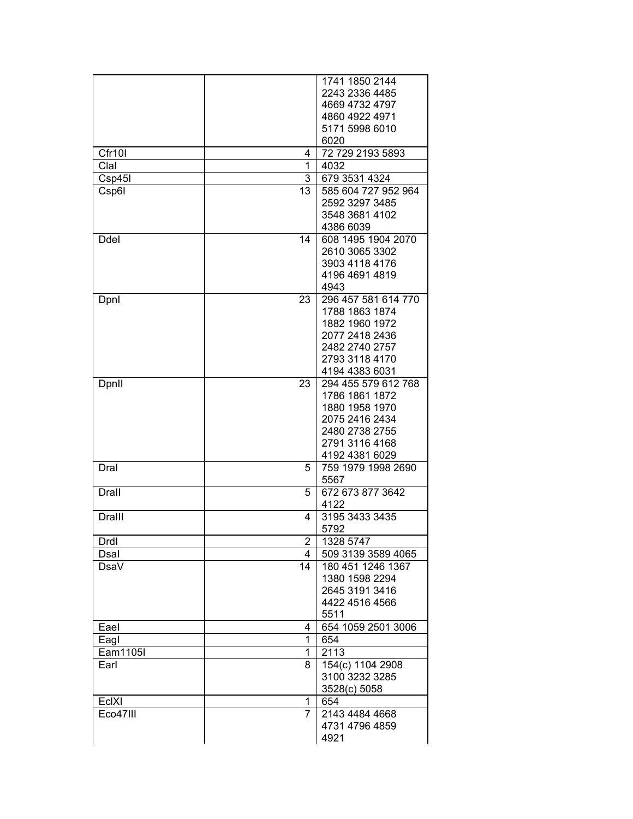|               |                | 1741 1850 2144                   |
|---------------|----------------|----------------------------------|
|               |                | 2243 2336 4485                   |
|               |                | 4669 4732 4797                   |
|               |                | 4860 4922 4971                   |
|               |                | 5171 5998 6010                   |
|               |                | 6020                             |
| Cfr10I        | 4              | 72 729 2193 5893                 |
| Clal          | 1              | 4032                             |
| Csp45I        | 3              | 679 3531 4324                    |
| Csp6I         | 13             | 585 604 727 952 964              |
|               |                | 2592 3297 3485                   |
|               |                | 3548 3681 4102                   |
|               |                | 4386 6039                        |
| Ddel          | 14             | 608 1495 1904 2070               |
|               |                | 2610 3065 3302                   |
|               |                | 3903 4118 4176                   |
|               |                | 4196 4691 4819                   |
|               |                | 4943                             |
| Dpnl          | 23             | 296 457 581 614 770              |
|               |                | 1788 1863 1874                   |
|               |                | 1882 1960 1972                   |
|               |                | 2077 2418 2436                   |
|               |                | 2482 2740 2757                   |
|               |                | 2793 3118 4170                   |
|               |                | 4194 4383 6031                   |
| Dpnll         | 23             | 294 455 579 612 768              |
|               |                | 1786 1861 1872                   |
|               |                | 1880 1958 1970                   |
|               |                | 2075 2416 2434                   |
|               |                | 2480 2738 2755<br>2791 3116 4168 |
|               |                | 4192 4381 6029                   |
| Dral          | 5              | 759 1979 1998 2690               |
|               |                | 5567                             |
| Drall         | 5              | 672 673 877 3642                 |
|               |                | 4122                             |
| <b>Dralll</b> | 4              | 3195 3433 3435                   |
|               |                | 5792                             |
| Drdl          | $\overline{2}$ | 1328 5747                        |
| Dsal          | 4              | 509 3139 3589 4065               |
| DsaV          | 14             | 180 451 1246 1367                |
|               |                | 1380 1598 2294                   |
|               |                | 2645 3191 3416                   |
|               |                | 4422 4516 4566                   |
|               |                | 5511                             |
| Eael          | 4              | 654 1059 2501 3006               |
| Eagl          | 1              | 654                              |
| Eam1105I      | 1              | 2113                             |
| Earl          | 8              | 154(c) 1104 2908                 |
|               |                | 3100 3232 3285                   |
|               |                | 3528(c) 5058                     |
| EclXI         | 1              | 654                              |
| Eco47III      | 7              | 2143 4484 4668                   |
|               |                | 4731 4796 4859                   |
|               |                | 4921                             |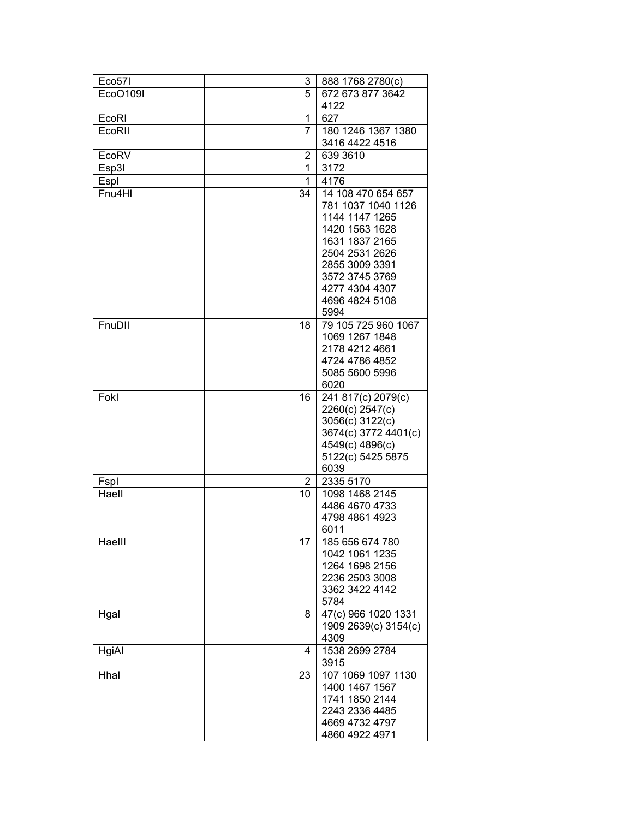| Eco57I   | 3  | 888 1768 2780(c)                     |
|----------|----|--------------------------------------|
| EcoO109I | 5  | 672 673 877 3642                     |
|          |    | 4122                                 |
| EcoRI    | 1  | 627                                  |
| EcoRII   | 7  | 180 1246 1367 1380                   |
|          |    | 3416 4422 4516                       |
| EcoRV    | 2  | 639 3610                             |
| Esp3I    | 1  | 3172                                 |
| Espl     | 1  | 4176                                 |
| Fnu4HI   | 34 | 14 108 470 654 657                   |
|          |    | 781 1037 1040 1126                   |
|          |    | 1144 1147 1265                       |
|          |    | 1420 1563 1628                       |
|          |    | 1631 1837 2165                       |
|          |    | 2504 2531 2626                       |
|          |    | 2855 3009 3391                       |
|          |    | 3572 3745 3769                       |
|          |    | 4277 4304 4307                       |
|          |    | 4696 4824 5108                       |
|          |    | 5994                                 |
| FnuDII   | 18 | 79 105 725 960 1067                  |
|          |    | 1069 1267 1848                       |
|          |    | 2178 4212 4661                       |
|          |    | 4724 4786 4852                       |
|          |    | 5085 5600 5996                       |
|          |    | 6020                                 |
| Fokl     | 16 | 241 817(c) 2079(c)                   |
|          |    | 2260(c) 2547(c)                      |
|          |    | 3056(c) 3122(c)                      |
|          |    | 3674(c) 3772 4401(c)                 |
|          |    | 4549(c) 4896(c)<br>5122(c) 5425 5875 |
|          |    | 6039                                 |
| Fspl     | 2  | 2335 5170                            |
| Haell    | 10 | 1098 1468 2145                       |
|          |    | 4486 4670 4733                       |
|          |    | 4798 4861 4923                       |
|          |    | 6011                                 |
| Haelll   | 17 | 185 656 674 780                      |
|          |    | 1042 1061 1235                       |
|          |    | 1264 1698 2156                       |
|          |    | 2236 2503 3008                       |
|          |    | 3362 3422 4142                       |
|          |    | 5784                                 |
| Hgal     | 8  | 47(c) 966 1020 1331                  |
|          |    | 1909 2639(c) 3154(c)                 |
|          |    | 4309                                 |
| HgiAl    | 4  | 1538 2699 2784                       |
|          |    | 3915                                 |
| Hhal     | 23 | 107 1069 1097 1130                   |
|          |    | 1400 1467 1567                       |
|          |    | 1741 1850 2144                       |
|          |    | 2243 2336 4485                       |
|          |    | 4669 4732 4797                       |
|          |    | 4860 4922 4971                       |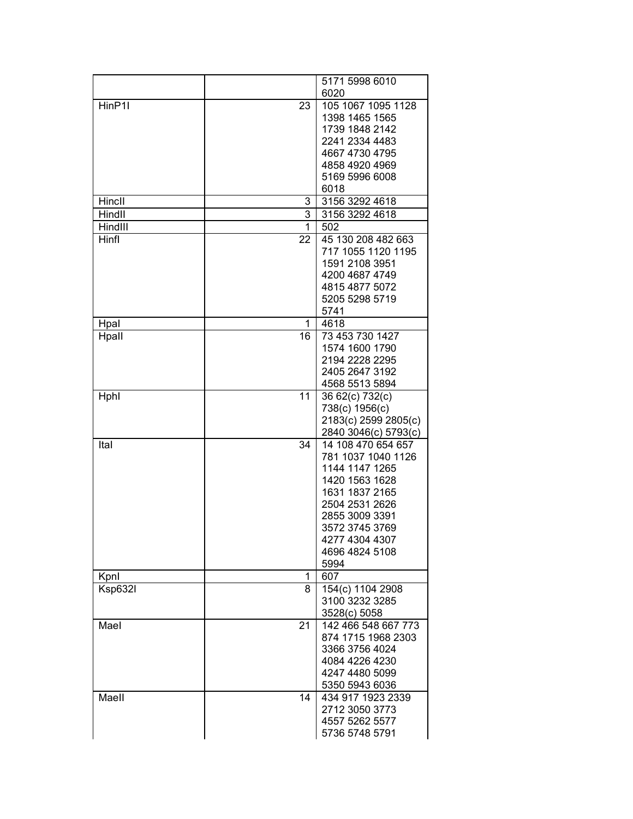|         |    | 5171 5998 6010                       |
|---------|----|--------------------------------------|
|         |    | 6020                                 |
| HinP1I  | 23 | 105 1067 1095 1128                   |
|         |    | 1398 1465 1565                       |
|         |    | 1739 1848 2142                       |
|         |    | 2241 2334 4483                       |
|         |    | 4667 4730 4795                       |
|         |    | 4858 4920 4969                       |
|         |    | 5169 5996 6008                       |
|         |    | 6018                                 |
| Hincll  | 3  | 3156 3292 4618                       |
| Hindll  | 3  | 3156 3292 4618                       |
| HindIII | 1  | 502                                  |
| Hinfl   | 22 | 45 130 208 482 663                   |
|         |    | 717 1055 1120 1195                   |
|         |    | 1591 2108 3951                       |
|         |    | 4200 4687 4749                       |
|         |    | 4815 4877 5072                       |
|         |    | 5205 5298 5719                       |
|         |    | 5741                                 |
| Hpal    | 1  | 4618                                 |
| Hpall   | 16 | 73 453 730 1427                      |
|         |    | 1574 1600 1790                       |
|         |    | 2194 2228 2295                       |
|         |    | 2405 2647 3192                       |
|         |    | 4568 5513 5894                       |
| Hphl    | 11 | 36 62(c) 732(c)                      |
|         |    | 738(c) 1956(c)                       |
|         |    | 2183(c) 2599 2805(c)                 |
|         |    | 2840 3046(c) 5793(c)                 |
| Ital    | 34 | 14 108 470 654 657                   |
|         |    | 781 1037 1040 1126                   |
|         |    | 1144 1147 1265                       |
|         |    | 1420 1563 1628                       |
|         |    | 1631 1837 2165                       |
|         |    | 2504 2531 2626                       |
|         |    | 2855 3009 3391                       |
|         |    | 3572 3745 3769                       |
|         |    | 4277 4304 4307                       |
|         |    | 4696 4824 5108                       |
|         |    | 5994                                 |
| Kpnl    | 1  | 607                                  |
| Ksp632I | 8  | 154(c) 1104 2908                     |
|         |    | 3100 3232 3285                       |
|         |    | 3528(c) 5058                         |
| Mael    | 21 | 142 466 548 667 773                  |
|         |    | 874 1715 1968 2303<br>3366 3756 4024 |
|         |    |                                      |
|         |    | 4084 4226 4230                       |
|         |    | 4247 4480 5099                       |
|         |    | 5350 5943 6036                       |
| Maell   | 14 | 434 917 1923 2339                    |
|         |    | 2712 3050 3773                       |
|         |    | 4557 5262 5577<br>5736 5748 5791     |
|         |    |                                      |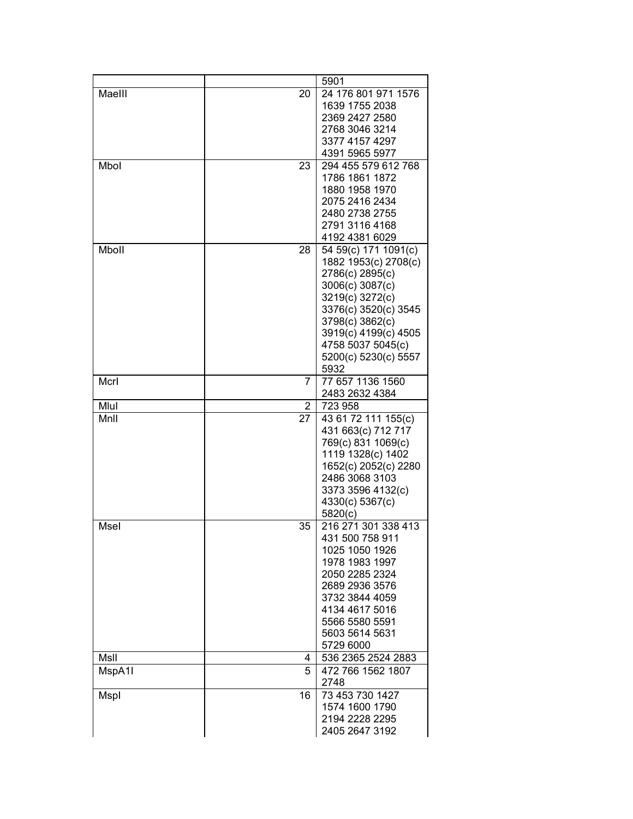|        |              | 5901                                    |
|--------|--------------|-----------------------------------------|
| Maelll | 20           | 24 176 801 971 1576                     |
|        |              | 1639 1755 2038                          |
|        |              | 2369 2427 2580                          |
|        |              | 2768 3046 3214                          |
|        |              | 3377 4157 4297                          |
|        |              | 4391 5965 5977                          |
| Mbol   | 23           | 294 455 579 612 768                     |
|        |              | 1786 1861 1872                          |
|        |              | 1880 1958 1970                          |
|        |              | 2075 2416 2434                          |
|        |              | 2480 2738 2755                          |
|        |              | 2791 3116 4168                          |
|        |              | 4192 4381 6029                          |
| Mboll  | 28           | 54 59(c) 171 1091(c)                    |
|        |              | 1882 1953(c) 2708(c)                    |
|        |              | 2786(c) 2895(c)                         |
|        |              | 3006(c) 3087(c)                         |
|        |              | 3219(c) 3272(c)                         |
|        |              | 3376(c) 3520(c) 3545                    |
|        |              | 3798(c) 3862(c)<br>3919(c) 4199(c) 4505 |
|        |              | 4758 5037 5045(c)                       |
|        |              | 5200(c) 5230(c) 5557                    |
|        |              | 5932                                    |
| Mcrl   | 7            | 77 657 1136 1560                        |
|        |              | 2483 2632 4384                          |
| Mlul   | $\mathbf{2}$ | 723 958                                 |
| MnII   | 27           | 43 61 72 111 155(c)                     |
|        |              | 431 663(c) 712 717                      |
|        |              | 769(c) 831 1069(c)                      |
|        |              | 1119 1328(c) 1402                       |
|        |              | 1652(c) 2052(c) 2280                    |
|        |              | 2486 3068 3103                          |
|        |              | 3373 3596 4132(c)                       |
|        |              | 4330(c) 5367(c)                         |
|        |              | 5820(c)                                 |
| Msel   | 35           | 216 271 301 338 413                     |
|        |              | 431 500 758 911                         |
|        |              | 1025 1050 1926                          |
|        |              | 1978 1983 1997                          |
|        |              | 2050 2285 2324                          |
|        |              | 2689 2936 3576                          |
|        |              | 3732 3844 4059                          |
|        |              | 4134 4617 5016                          |
|        |              | 5566 5580 5591                          |
|        |              | 5603 5614 5631                          |
|        |              | 5729 6000                               |
| MsII   | 4            | 536 2365 2524 2883                      |
| MspA1I | 5            | 472 766 1562 1807<br>2748               |
| Mspl   | 16           | 73 453 730 1427                         |
|        |              | 1574 1600 1790                          |
|        |              | 2194 2228 2295                          |
|        |              | 2405 2647 3192                          |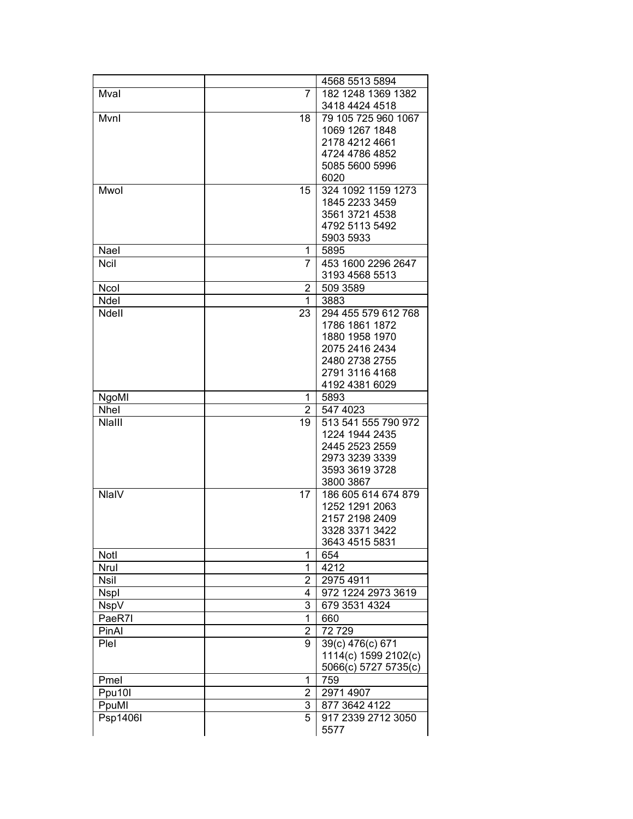|             |                | 4568 5513 5894       |
|-------------|----------------|----------------------|
| Mval        | 7              | 182 1248 1369 1382   |
|             |                | 3418 4424 4518       |
| Mvnl        | 18             | 79 105 725 960 1067  |
|             |                | 1069 1267 1848       |
|             |                | 2178 4212 4661       |
|             |                | 4724 4786 4852       |
|             |                | 5085 5600 5996       |
|             |                | 6020                 |
| Mwol        | 15             | 324 1092 1159 1273   |
|             |                | 1845 2233 3459       |
|             |                | 3561 3721 4538       |
|             |                | 4792 5113 5492       |
|             |                | 5903 5933            |
| Nael        | 1              | 5895                 |
|             | $\overline{7}$ |                      |
| Ncil        |                | 453 1600 2296 2647   |
|             |                | 3193 4568 5513       |
| Ncol        | 2              | 509 3589             |
| Ndel        | 1              | 3883                 |
| Ndell       | 23             | 294 455 579 612 768  |
|             |                | 1786 1861 1872       |
|             |                | 1880 1958 1970       |
|             |                | 2075 2416 2434       |
|             |                | 2480 2738 2755       |
|             |                | 2791 3116 4168       |
|             |                | 4192 4381 6029       |
| NgoMI       | 1              | 5893                 |
| Nhel        | $\overline{2}$ | 547 4023             |
| Nlalll      | 19             | 513 541 555 790 972  |
|             |                | 1224 1944 2435       |
|             |                | 2445 2523 2559       |
|             |                | 2973 3239 3339       |
|             |                | 3593 3619 3728       |
|             |                | 3800 3867            |
| NlaIV       | 17             | 186 605 614 674 879  |
|             |                | 1252 1291 2063       |
|             |                | 2157 2198 2409       |
|             |                | 3328 3371 3422       |
|             |                | 3643 4515 5831       |
| Notl        | 1              | 654                  |
| Nrul        | 1              | 4212                 |
| <b>Nsil</b> | $\overline{2}$ | 2975 4911            |
| <b>Nspl</b> | 4              | 972 1224 2973 3619   |
| <b>NspV</b> | 3              | 679 3531 4324        |
| PaeR7I      | 1              | 660                  |
| PinAl       | $\overline{2}$ | 72729                |
| Plel        | 9              | 39(c) 476(c) 671     |
|             |                | 1114(c) 1599 2102(c) |
|             |                | 5066(c) 5727 5735(c) |
|             |                |                      |
| Pmel        | 1              | 759                  |
| Ppu10I      | $\overline{2}$ | 2971 4907            |
| PpuMI       | 3              | 877 3642 4122        |
| Psp1406I    | 5              | 917 2339 2712 3050   |
|             |                | 5577                 |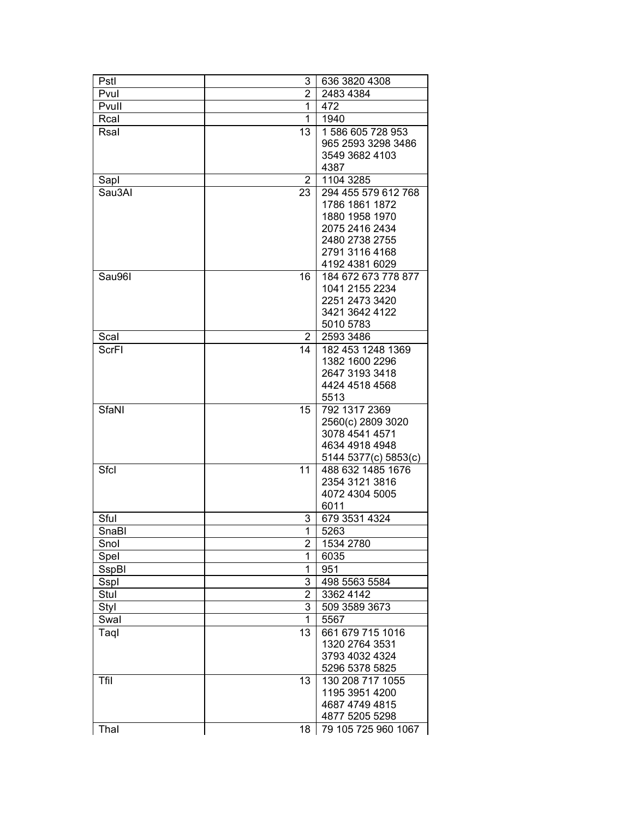| Pstl   | 3              | 636 3820 4308        |
|--------|----------------|----------------------|
| Pvul   | 2              | 2483 4384            |
| Pvull  | 1              | 472                  |
| Rcal   | 1              | 1940                 |
| Rsal   | 13             | 1 586 605 728 953    |
|        |                | 965 2593 3298 3486   |
|        |                | 3549 3682 4103       |
|        |                | 4387                 |
| Sapl   | $\overline{2}$ | 1104 3285            |
| Sau3Al | 23             | 294 455 579 612 768  |
|        |                | 1786 1861 1872       |
|        |                | 1880 1958 1970       |
|        |                | 2075 2416 2434       |
|        |                | 2480 2738 2755       |
|        |                | 2791 3116 4168       |
|        |                | 4192 4381 6029       |
| Sau96I | 16             | 184 672 673 778 877  |
|        |                | 1041 2155 2234       |
|        |                | 2251 2473 3420       |
|        |                | 3421 3642 4122       |
|        |                | 5010 5783            |
| Scal   | 2              | 2593 3486            |
| ScrFI  | 14             | 182 453 1248 1369    |
|        |                | 1382 1600 2296       |
|        |                | 2647 3193 3418       |
|        |                | 4424 4518 4568       |
|        |                | 5513                 |
| SfaNI  | 15             | 792 1317 2369        |
|        |                | 2560(c) 2809 3020    |
|        |                | 3078 4541 4571       |
|        |                | 4634 4918 4948       |
|        |                | 5144 5377(c) 5853(c) |
| Sfcl   | 11             | 488 632 1485 1676    |
|        |                | 2354 3121 3816       |
|        |                | 4072 4304 5005       |
|        |                | 6011                 |
| Sful   | 3              | 679 3531 4324        |
| SnaBl  | 1              | 5263                 |
| Snol   | 2              | 1534 2780            |
| Spel   | 1              | 6035                 |
| SspBI  | 1              | 951                  |
| Sspl   | 3              | 498 5563 5584        |
| Stul   | $\overline{2}$ | 3362 4142            |
| Styl   | 3              | 509 3589 3673        |
| Swal   | 1              | 5567                 |
| Taql   | 13             | 661 679 715 1016     |
|        |                | 1320 2764 3531       |
|        |                | 3793 4032 4324       |
|        |                | 5296 5378 5825       |
| Tfil   | 13             | 130 208 717 1055     |
|        |                | 1195 3951 4200       |
|        |                | 4687 4749 4815       |
|        |                | 4877 5205 5298       |
| Thal   | 18             | 79 105 725 960 1067  |